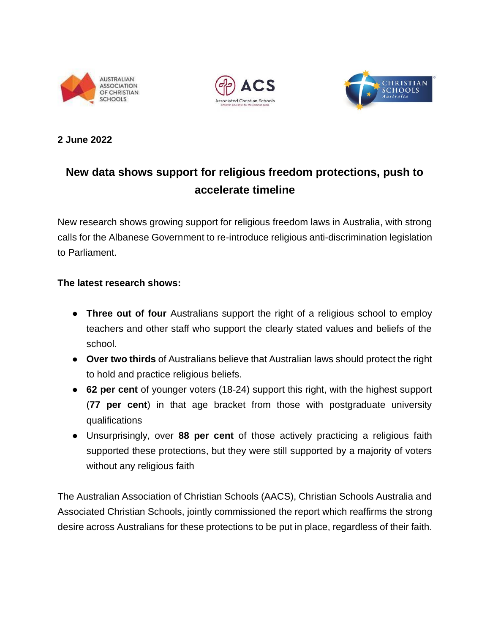





## **2 June 2022**

# **New data shows support for religious freedom protections, push to accelerate timeline**

New research shows growing support for religious freedom laws in Australia, with strong calls for the Albanese Government to re-introduce religious anti-discrimination legislation to Parliament.

## **The latest research shows:**

- **Three out of four** Australians support the right of a religious school to employ teachers and other staff who support the clearly stated values and beliefs of the school.
- **Over two thirds** of Australians believe that Australian laws should protect the right to hold and practice religious beliefs.
- **62 per cent** of younger voters (18-24) support this right, with the highest support (**77 per cent**) in that age bracket from those with postgraduate university qualifications
- Unsurprisingly, over **88 per cent** of those actively practicing a religious faith supported these protections, but they were still supported by a majority of voters without any religious faith

The Australian Association of Christian Schools (AACS), Christian Schools Australia and Associated Christian Schools, jointly commissioned the report which reaffirms the strong desire across Australians for these protections to be put in place, regardless of their faith.